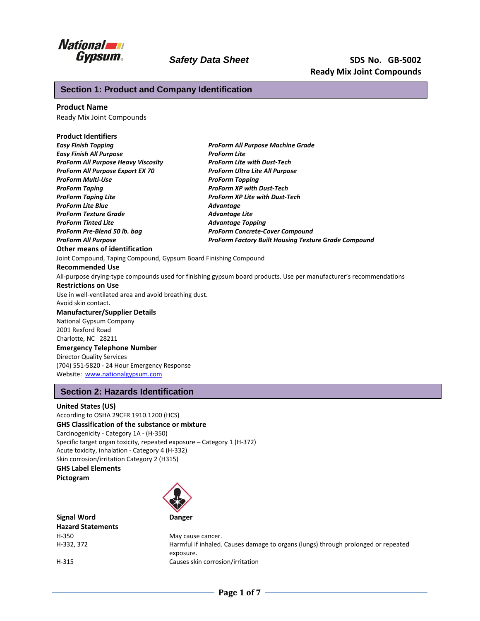

# **Section 1: Product and Company Identification**

### **Product Name**

Ready Mix Joint Compounds

#### **Product Identifiers**

| <b>Easy Finish Topping</b>                                       | ProForm All Purpose Machine Grade                                                                                  |
|------------------------------------------------------------------|--------------------------------------------------------------------------------------------------------------------|
| <b>Easy Finish All Purpose</b>                                   | <b>ProForm Lite</b>                                                                                                |
| <b>ProForm All Purpose Heavy Viscosity</b>                       | <b>ProForm Lite with Dust-Tech</b>                                                                                 |
| <b>ProForm All Purpose Export EX 70</b>                          | <b>ProForm Ultra Lite All Purpose</b>                                                                              |
| <b>ProForm Multi-Use</b>                                         | <b>ProForm Topping</b>                                                                                             |
| <b>ProForm Taping</b>                                            | <b>ProForm XP with Dust-Tech</b>                                                                                   |
| <b>ProForm Taping Lite</b>                                       | <b>ProForm XP Lite with Dust-Tech</b>                                                                              |
| <b>ProForm Lite Blue</b>                                         | Advantage                                                                                                          |
| <b>ProForm Texture Grade</b>                                     | <b>Advantage Lite</b>                                                                                              |
| <b>ProForm Tinted Lite</b>                                       | <b>Advantage Topping</b>                                                                                           |
| ProForm Pre-Blend 50 lb. bag                                     | <b>ProForm Concrete-Cover Compound</b>                                                                             |
| <b>ProForm All Purpose</b>                                       | <b>ProForm Factory Built Housing Texture Grade Compound</b>                                                        |
| Other means of identification                                    |                                                                                                                    |
| Joint Compound, Taping Compound, Gypsum Board Finishing Compound |                                                                                                                    |
| <b>Recommended Use</b>                                           |                                                                                                                    |
|                                                                  | All-purpose drying-type compounds used for finishing gypsum board products. Use per manufacturer's recommendations |
| <b>Restrictions on Use</b>                                       |                                                                                                                    |
| Use in well-ventilated area and avoid breathing dust.            |                                                                                                                    |
| Avoid skin contact.                                              |                                                                                                                    |
| <b>Manufacturer/Supplier Details</b>                             |                                                                                                                    |
| National Gypsum Company                                          |                                                                                                                    |
| 2001 Rexford Road                                                |                                                                                                                    |
| Charlotte, NC 28211                                              |                                                                                                                    |
| <b>Emergency Telephone Number</b>                                |                                                                                                                    |
| <b>Director Quality Services</b>                                 |                                                                                                                    |
| (704) 551-5820 - 24 Hour Emergency Response                      |                                                                                                                    |
| Website: www.nationalgypsum.com                                  |                                                                                                                    |
|                                                                  |                                                                                                                    |

# **Section 2: Hazards Identification**

#### **United States (US)**

According to OSHA 29CFR 1910.1200 (HCS) **GHS Classification of the substance or mixture** Carcinogenicity - Category 1A - (H-350) Specific target organ toxicity, repeated exposure – Category 1 (H-372) Acute toxicity, inhalation - Category 4 (H-332) Skin corrosion/irritation Category 2 (H315) **GHS Label Elements Pictogram**



**Signal Word Danger Hazard Statements** H-350 May cause cancer.

H-332, 372 Harmful if inhaled. Causes damage to organs (lungs) through prolonged or repeated exposure. H-315 Causes skin corrosion/irritation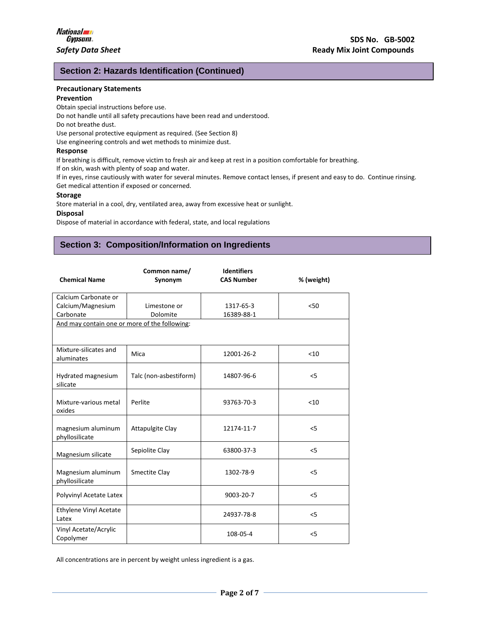# **Section 2: Hazards Identification (Continued)**

#### **Precautionary Statements**

#### **Prevention**

Obtain special instructions before use. Do not handle until all safety precautions have been read and understood.

Do not breathe dust.

Use personal protective equipment as required. (See Section 8)

Use engineering controls and wet methods to minimize dust.

### **Response**

If breathing is difficult, remove victim to fresh air and keep at rest in a position comfortable for breathing.

If on skin, wash with plenty of soap and water.

If in eyes, rinse cautiously with water for several minutes. Remove contact lenses, if present and easy to do. Continue rinsing. Get medical attention if exposed or concerned.

#### **Storage**

Store material in a cool, dry, ventilated area, away from excessive heat or sunlight.

#### **Disposal**

Dispose of material in accordance with federal, state, and local regulations

# **Section 3: Composition/Information on Ingredients**

| <b>Chemical Name</b>                          | Common name/<br>Synonym | <b>Identifiers</b><br><b>CAS Number</b> | % (weight) |
|-----------------------------------------------|-------------------------|-----------------------------------------|------------|
| Calcium Carbonate or                          |                         |                                         |            |
| Calcium/Magnesium                             | Limestone or            | 1317-65-3                               | < 50       |
| Carbonate                                     | Dolomite                | 16389-88-1                              |            |
| And may contain one or more of the following: |                         |                                         |            |
| Mixture-silicates and<br>aluminates           | Mica                    | 12001-26-2                              | < 10       |
| Hydrated magnesium<br>silicate                | Talc (non-asbestiform)  | 14807-96-6                              | 5          |
| Mixture-various metal<br>oxides               | Perlite                 | 93763-70-3                              | < 10       |
| magnesium aluminum<br>phyllosilicate          | <b>Attapulgite Clay</b> | 12174-11-7                              | 5          |
| Magnesium silicate                            | Sepiolite Clay          | 63800-37-3                              | 5          |
| Magnesium aluminum<br>phyllosilicate          | Smectite Clay           | 1302-78-9                               | < 5        |
| Polyvinyl Acetate Latex                       |                         | 9003-20-7                               | 5          |
| <b>Ethylene Vinyl Acetate</b><br>Latex        |                         | 24937-78-8                              | 5          |
| Vinyl Acetate/Acrylic<br>Copolymer            |                         | 108-05-4                                | < 5        |

All concentrations are in percent by weight unless ingredient is a gas.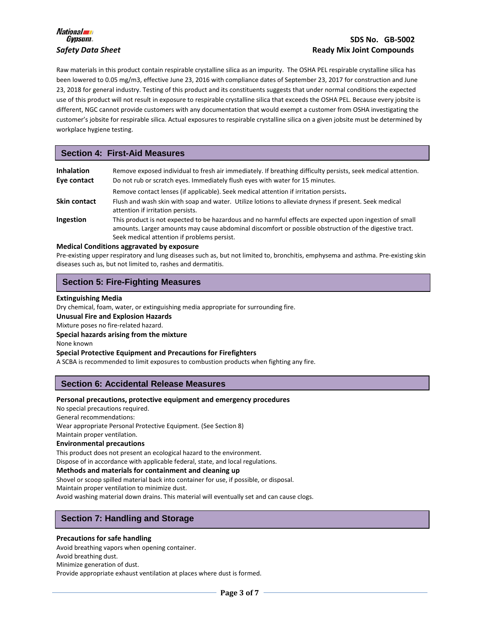

Raw materials in this product contain respirable crystalline silica as an impurity. The OSHA PEL respirable crystalline silica has been lowered to 0.05 mg/m3, effective June 23, 2016 with compliance dates of September 23, 2017 for construction and June 23, 2018 for general industry. Testing of this product and its constituents suggests that under normal conditions the expected use of this product will not result in exposure to respirable crystalline silica that exceeds the OSHA PEL. Because every jobsite is different, NGC cannot provide customers with any documentation that would exempt a customer from OSHA investigating the customer's jobsite for respirable silica. Actual exposures to respirable crystalline silica on a given jobsite must be determined by workplace hygiene testing.

# **Section 4: First-Aid Measures**

| <b>Inhalation</b><br>Eye contact | Remove exposed individual to fresh air immediately. If breathing difficulty persists, seek medical attention.<br>Do not rub or scratch eyes. Immediately flush eyes with water for 15 minutes.                                                                    |
|----------------------------------|-------------------------------------------------------------------------------------------------------------------------------------------------------------------------------------------------------------------------------------------------------------------|
|                                  | Remove contact lenses (if applicable). Seek medical attention if irritation persists.                                                                                                                                                                             |
| Skin contact                     | Flush and wash skin with soap and water. Utilize lotions to alleviate dryness if present. Seek medical<br>attention if irritation persists.                                                                                                                       |
| Ingestion                        | This product is not expected to be hazardous and no harmful effects are expected upon ingestion of small<br>amounts. Larger amounts may cause abdominal discomfort or possible obstruction of the digestive tract.<br>Seek medical attention if problems persist. |

#### **Medical Conditions aggravated by exposure**

Pre-existing upper respiratory and lung diseases such as, but not limited to, bronchitis, emphysema and asthma. Pre-existing skin diseases such as, but not limited to, rashes and dermatitis.

# **Section 5: Fire-Fighting Measures**

#### **Extinguishing Media**

Dry chemical, foam, water, or extinguishing media appropriate for surrounding fire. **Unusual Fire and Explosion Hazards**  Mixture poses no fire-related hazard. **Special hazards arising from the mixture** None known **Special Protective Equipment and Precautions for Firefighters** A SCBA is recommended to limit exposures to combustion products when fighting any fire.

# **Section 6: Accidental Release Measures**

#### **Personal precautions, protective equipment and emergency procedures**

No special precautions required.

General recommendations:

Wear appropriate Personal Protective Equipment. (See Section 8)

Maintain proper ventilation.

#### **Environmental precautions**

This product does not present an ecological hazard to the environment.

Dispose of in accordance with applicable federal, state, and local regulations.

#### **Methods and materials for containment and cleaning up**

Shovel or scoop spilled material back into container for use, if possible, or disposal.

Maintain proper ventilation to minimize dust.

Avoid washing material down drains. This material will eventually set and can cause clogs.

# **Section 7: Handling and Storage**

#### **Precautions for safe handling**

Avoid breathing vapors when opening container. Avoid breathing dust.

Minimize generation of dust.

Provide appropriate exhaust ventilation at places where dust is formed.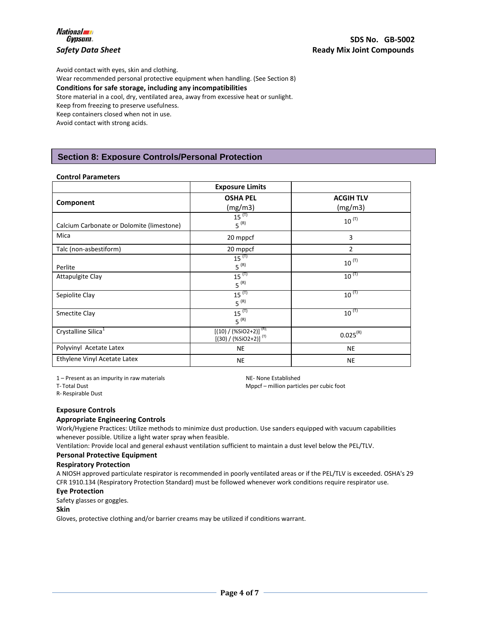

Avoid contact with eyes, skin and clothing. Wear recommended personal protective equipment when handling. (See Section 8) **Conditions for safe storage, including any incompatibilities** Store material in a cool, dry, ventilated area, away from excessive heat or sunlight. Keep from freezing to preserve usefulness. Keep containers closed when not in use. Avoid contact with strong acids.

# **Section 8: Exposure Controls/Personal Protection**

#### **Control Parameters**

|                                           | <b>Exposure Limits</b>                                             |                             |
|-------------------------------------------|--------------------------------------------------------------------|-----------------------------|
| Component                                 | <b>OSHA PEL</b><br>(mg/m3)                                         | <b>ACGIH TLV</b><br>(mg/m3) |
| Calcium Carbonate or Dolomite (limestone) | $15^{(T)}$<br>$5^{(R)}$                                            | $10^{(T)}$                  |
| Mica                                      | 20 mppcf                                                           | 3                           |
| Talc (non-asbestiform)                    | 20 mppcf                                                           | 2                           |
| Perlite                                   | $15^{(1)}$<br>$5^{(R)}$                                            | $10^{(T)}$                  |
| Attapulgite Clay                          | $15^{(T)}$<br>$5^{(R)}$                                            | $10^{(T)}$                  |
| Sepiolite Clay                            | $15^{(T)}$<br>$5^{(R)}$                                            | $10^{(T)}$                  |
| Smectite Clay                             | $15^{(T)}$<br>$5^{(R)}$                                            | $10^{(T)}$                  |
| Crystalline Silica <sup>1</sup>           | $[(10) / (%SiO2+2)]$ <sup>(R);</sup><br>$[(30) / (%SiO2+2)]^{(T)}$ | $0.025^{(R)}$               |
| Polyvinyl Acetate Latex                   | NE                                                                 | <b>NE</b>                   |
| Ethylene Vinyl Acetate Latex              | <b>NE</b>                                                          | <b>NE</b>                   |

1 – Present as an impurity in raw materials NE- None Established

T- Total Dust **Mppcf** – million particles per cubic foot **Mppcf** – million particles per cubic foot

R- Respirable Dust

#### **Exposure Controls**

#### **Appropriate Engineering Controls**

Work/Hygiene Practices: Utilize methods to minimize dust production. Use sanders equipped with vacuum capabilities whenever possible. Utilize a light water spray when feasible.

Ventilation: Provide local and general exhaust ventilation sufficient to maintain a dust level below the PEL/TLV.

#### **Personal Protective Equipment**

#### **Respiratory Protection**

A NIOSH approved particulate respirator is recommended in poorly ventilated areas or if the PEL/TLV is exceeded. OSHA's 29 CFR 1910.134 (Respiratory Protection Standard) must be followed whenever work conditions require respirator use.

#### **Eye Protection**

Safety glasses or goggles.

#### **Skin**

Gloves, protective clothing and/or barrier creams may be utilized if conditions warrant.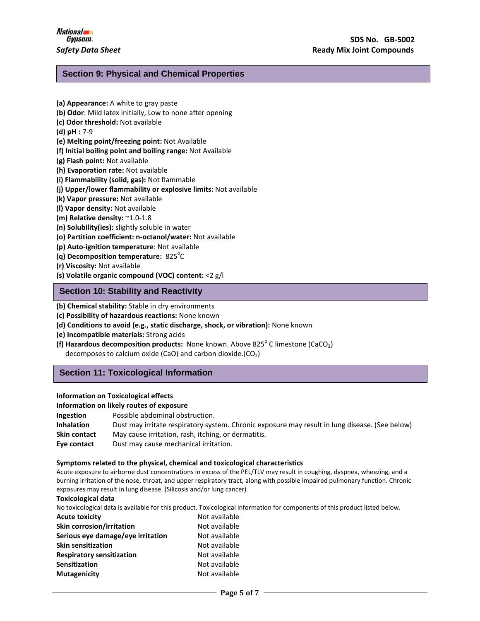# **Section 9: Physical and Chemical Properties**

- **(a) Appearance:** A white to gray paste
- **(b) Odor**: Mild latex initially, Low to none after opening
- **(c) Odor threshold:** Not available
- **(d) pH :** 7-9
- **(e) Melting point/freezing point:** Not Available
- **(f) Initial boiling point and boiling range:** Not Available
- **(g) Flash point:** Not available
- **(h) Evaporation rate:** Not available
- **(i) Flammability (solid, gas):** Not flammable
- **(j) Upper/lower flammability or explosive limits:** Not available
- **(k) Vapor pressure:** Not available
- **(l) Vapor density:** Not available
- **(m) Relative density:** ~1.0-1.8
- **(n) Solubility(ies):** slightly soluble in water
- **(o) Partition coefficient: n-octanol/water:** Not available
- **(p) Auto-ignition temperature**: Not available
- (q) Decomposition temperature: 825<sup>°</sup>C
- **(r) Viscosity:** Not available
- **(s) Volatile organic compound (VOC) content:** <2 g/l

# **Section 10: Stability and Reactivity**

- **(b) Chemical stability:** Stable in dry environments
- **(c) Possibility of hazardous reactions:** None known
- **(d) Conditions to avoid (e.g., static discharge, shock, or vibration):** None known
- **(e) Incompatible materials:** Strong acids
- **(f) Hazardous decomposition products:** None known. Above 825<sup>°</sup> C limestone (CaCO<sub>3</sub>) decomposes to calcium oxide (CaO) and carbon dioxide.( $CO<sub>2</sub>$ )

# **Section 11: Toxicological Information**

#### **Information on Toxicological effects**

#### **Information on likely routes of exposure**

| <b>Ingestion</b>  | Possible abdominal obstruction.                                                                |
|-------------------|------------------------------------------------------------------------------------------------|
| <b>Inhalation</b> | Dust may irritate respiratory system. Chronic exposure may result in lung disease. (See below) |
| Skin contact      | May cause irritation, rash, itching, or dermatitis.                                            |
| Eye contact       | Dust may cause mechanical irritation.                                                          |

#### **Symptoms related to the physical, chemical and toxicological characteristics**

Acute exposure to airborne dust concentrations in excess of the PEL/TLV may result in coughing, dyspnea, wheezing, and a burning irritation of the nose, throat, and upper respiratory tract, along with possible impaired pulmonary function. Chronic exposures may result in lung disease. (Silicosis and/or lung cancer)

#### **Toxicological data**

No toxicological data is available for this product. Toxicological information for components of this product listed below.

| Not available |
|---------------|
| Not available |
| Not available |
| Not available |
| Not available |
| Not available |
| Not available |
|               |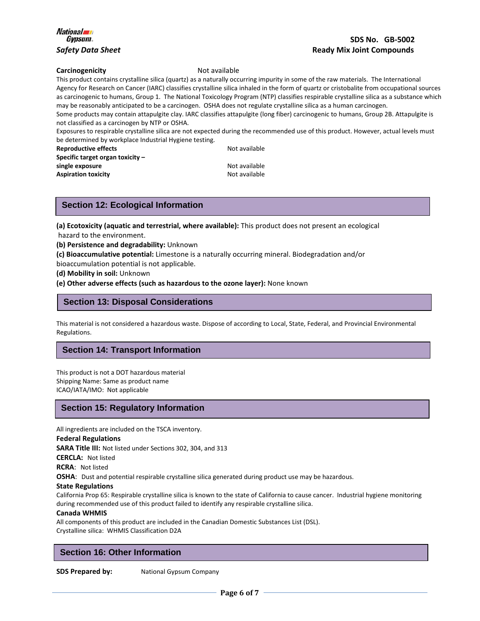# *Gypsum* **SDS No. GB-5002** *Safety Data Sheet* **Ready Mix Joint Compounds**

#### **Carcinogenicity Not available**

This product contains crystalline silica (quartz) as a naturally occurring impurity in some of the raw materials. The International Agency for Research on Cancer (IARC) classifies crystalline silica inhaled in the form of quartz or cristobalite from occupational sources as carcinogenic to humans, Group 1. The National Toxicology Program (NTP) classifies respirable crystalline silica as a substance which may be reasonably anticipated to be a carcinogen. OSHA does not regulate crystalline silica as a human carcinogen.

Some products may contain attapulgite clay. IARC classifies attapulgite (long fiber) carcinogenic to humans, Group 2B. Attapulgite is not classified as a carcinogen by NTP or OSHA.

Exposures to respirable crystalline silica are not expected during the recommended use of this product. However, actual levels must be determined by workplace Industrial Hygiene testing.

**Reproductive effects** Not available **Specific target organ toxicity – single exposure Not available Not available Aspiration toxicity Not available Not available** 

# **Section 12: Ecological Information**

**(a) Ecotoxicity (aquatic and terrestrial, where available):** This product does not present an ecological hazard to the environment.

**(b) Persistence and degradability:** Unknown

**(c) Bioaccumulative potential:** Limestone is a naturally occurring mineral. Biodegradation and/or

bioaccumulation potential is not applicable.

**(d) Mobility in soil:** Unknown

#### **(e) Other adverse effects (such as hazardous to the ozone layer):** None known

# **Section 13: Disposal Considerations**

This material is not considered a hazardous waste. Dispose of according to Local, State, Federal, and Provincial Environmental Regulations.

# **Section 14: Transport Information**

This product is not a DOT hazardous material Shipping Name: Same as product name ICAO/IATA/IMO: Not applicable

# **Section 15: Regulatory Information**

All ingredients are included on the TSCA inventory.

#### **Federal Regulations**

**SARA Title III:** Not listed under Sections 302, 304, and 313

**CERCLA:** Not listed

**RCRA**: Not listed

**OSHA**: Dust and potential respirable crystalline silica generated during product use may be hazardous.

#### **State Regulations**

California Prop 65: Respirable crystalline silica is known to the state of California to cause cancer. Industrial hygiene monitoring during recommended use of this product failed to identify any respirable crystalline silica.

#### **Canada WHMIS**

All components of this product are included in the Canadian Domestic Substances List (DSL). Crystalline silica: WHMIS Classification D2A

# **Section 16: Other Information**

**SDS Prepared by:** National Gypsum Company